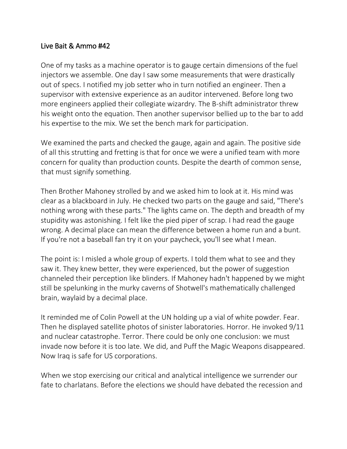## Live Bait & Ammo #42

One of my tasks as a machine operator is to gauge certain dimensions of the fuel injectors we assemble. One day I saw some measurements that were drastically out of specs. I notified my job setter who in turn notified an engineer. Then a supervisor with extensive experience as an auditor intervened. Before long two more engineers applied their collegiate wizardry. The B-shift administrator threw his weight onto the equation. Then another supervisor bellied up to the bar to add his expertise to the mix. We set the bench mark for participation.

We examined the parts and checked the gauge, again and again. The positive side of all this strutting and fretting is that for once we were a unified team with more concern for quality than production counts. Despite the dearth of common sense, that must signify something.

Then Brother Mahoney strolled by and we asked him to look at it. His mind was clear as a blackboard in July. He checked two parts on the gauge and said, "There's nothing wrong with these parts." The lights came on. The depth and breadth of my stupidity was astonishing. I felt like the pied piper of scrap. I had read the gauge wrong. A decimal place can mean the difference between a home run and a bunt. If you're not a baseball fan try it on your paycheck, you'll see what I mean.

The point is: I misled a whole group of experts. I told them what to see and they saw it. They knew better, they were experienced, but the power of suggestion channeled their perception like blinders. If Mahoney hadn't happened by we might still be spelunking in the murky caverns of Shotwell's mathematically challenged brain, waylaid by a decimal place.

It reminded me of Colin Powell at the UN holding up a vial of white powder. Fear. Then he displayed satellite photos of sinister laboratories. Horror. He invoked 9/11 and nuclear catastrophe. Terror. There could be only one conclusion: we must invade now before it is too late. We did, and Puff the Magic Weapons disappeared. Now Iraq is safe for US corporations.

When we stop exercising our critical and analytical intelligence we surrender our fate to charlatans. Before the elections we should have debated the recession and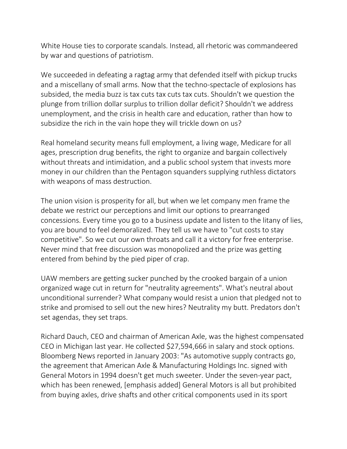White House ties to corporate scandals. Instead, all rhetoric was commandeered by war and questions of patriotism.

We succeeded in defeating a ragtag army that defended itself with pickup trucks and a miscellany of small arms. Now that the techno-spectacle of explosions has subsided, the media buzz is tax cuts tax cuts tax cuts. Shouldn't we question the plunge from trillion dollar surplus to trillion dollar deficit? Shouldn't we address unemployment, and the crisis in health care and education, rather than how to subsidize the rich in the vain hope they will trickle down on us?

Real homeland security means full employment, a living wage, Medicare for all ages, prescription drug benefits, the right to organize and bargain collectively without threats and intimidation, and a public school system that invests more money in our children than the Pentagon squanders supplying ruthless dictators with weapons of mass destruction.

The union vision is prosperity for all, but when we let company men frame the debate we restrict our perceptions and limit our options to prearranged concessions. Every time you go to a business update and listen to the litany of lies, you are bound to feel demoralized. They tell us we have to "cut costs to stay competitive". So we cut our own throats and call it a victory for free enterprise. Never mind that free discussion was monopolized and the prize was getting entered from behind by the pied piper of crap.

UAW members are getting sucker punched by the crooked bargain of a union organized wage cut in return for "neutrality agreements". What's neutral about unconditional surrender? What company would resist a union that pledged not to strike and promised to sell out the new hires? Neutrality my butt. Predators don't set agendas, they set traps.

Richard Dauch, CEO and chairman of American Axle, was the highest compensated CEO in Michigan last year. He collected \$27,594,666 in salary and stock options. Bloomberg News reported in January 2003: "As automotive supply contracts go, the agreement that American Axle & Manufacturing Holdings Inc. signed with General Motors in 1994 doesn't get much sweeter. Under the seven-year pact, which has been renewed, [emphasis added] General Motors is all but prohibited from buying axles, drive shafts and other critical components used in its sport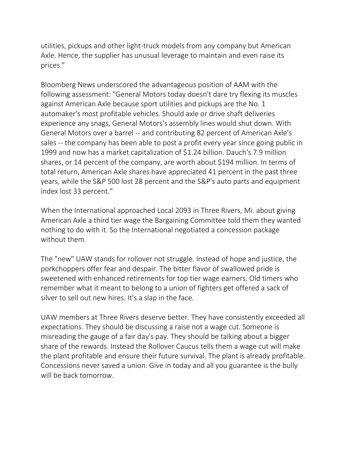utilities, pickups and other light-truck models from any company but American Axle. Hence, the supplier has unusual leverage to maintain and even raise its prices."

Bloomberg News underscored the advantageous position of AAM with the following assessment: "General Motors today doesn't dare try flexing its muscles against American Axle because sport utilities and pickups are the No. 1 automaker's most profitable vehicles. Should axle or drive shaft deliveries experience any snags, General Motors's assembly lines would shut down. With General Motors over a barrel -- and contributing 82 percent of American Axle's sales -- the company has been able to post a profit every year since going public in 1999 and now has a market capitalization of \$1.24 billion. Dauch's 7.9 million shares, or 14 percent of the company, are worth about \$194 million. In terms of total return, American Axle shares have appreciated 41 percent in the past three years, while the S&P 500 lost 28 percent and the S&P's auto parts and equipment index lost 33 percent."

When the International approached Local 2093 in Three Rivers, Mi. about giving American Axle a third tier wage the Bargaining Committee told them they wanted nothing to do with it. So the International negotiated a concession package without them.

The "new" UAW stands for rollover not struggle. Instead of hope and justice, the porkchoppers offer fear and despair. The bitter flavor of swallowed pride is sweetened with enhanced retirements for top tier wage earners. Old timers who remember what it meant to belong to a union of fighters get offered a sack of silver to sell out new hires. It's a slap in the face.

UAW members at Three Rivers deserve better. They have consistently exceeded all expectations. They should be discussing a raise not a wage cut. Someone is misreading the gauge of a fair day's pay. They should be talking about a bigger share of the rewards. Instead the Rollover Caucus tells them a wage cut will make the plant profitable and ensure their future survival. The plant is already profitable. Concessions never saved a union. Give in today and all you guarantee is the bully will be back tomorrow.